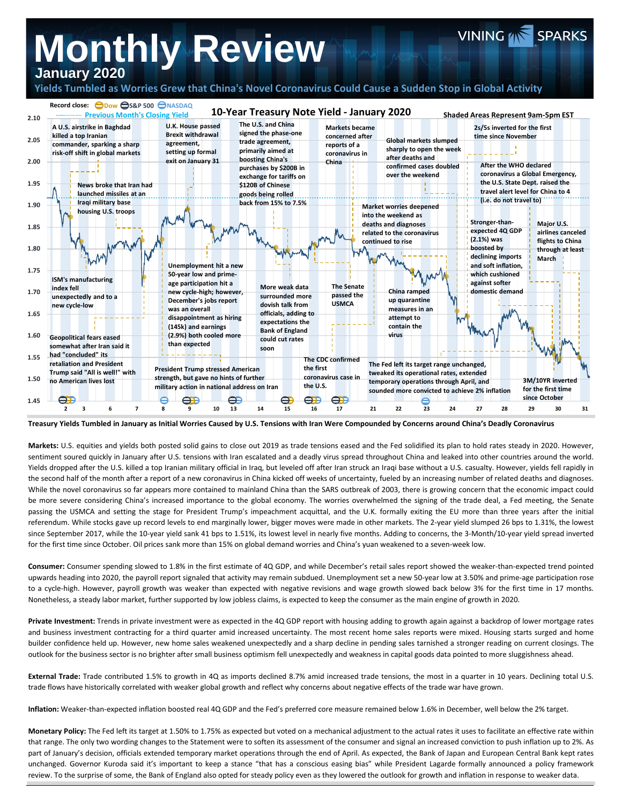## **Monthly Review January 2020**

## **Yields Tumbled as Worries Grew that China's Novel Coronavirus Could Cause a Sudden Stop in Global Activity**

VINING **AN SPARKS** 



**Treasury Yields Tumbled in January as Initial Worries Caused by U.S. Tensions with Iran Were Compounded by Concerns around China's Deadly Coronavirus**

**Markets:** U.S. equities and yields both posted solid gains to close out 2019 as trade tensions eased and the Fed solidified its plan to hold rates steady in 2020. However, sentiment soured quickly in January after U.S. tensions with Iran escalated and a deadly virus spread throughout China and leaked into other countries around the world. Yields dropped after the U.S. killed a top Iranian military official in Iraq, but leveled off after Iran struck an Iraqi base without a U.S. casualty. However, yields fell rapidly in the second half of the month after a report of a new coronavirus in China kicked off weeks of uncertainty, fueled by an increasing number of related deaths and diagnoses. While the novel coronavirus so far appears more contained to mainland China than the SARS outbreak of 2003, there is growing concern that the economic impact could be more severe considering China's increased importance to the global economy. The worries overwhelmed the signing of the trade deal, a Fed meeting, the Senate passing the USMCA and setting the stage for President Trump's impeachment acquittal, and the U.K. formally exiting the EU more than three years after the initial referendum. While stocks gave up record levels to end marginally lower, bigger moves were made in other markets. The 2-year yield slumped 26 bps to 1.31%, the lowest since September 2017, while the 10-year yield sank 41 bps to 1.51%, its lowest level in nearly five months. Adding to concerns, the 3-Month/10-year yield spread inverted for the first time since October. Oil prices sank more than 15% on global demand worries and China's yuan weakened to a seven-week low.

**Consumer:** Consumer spending slowed to 1.8% in the first estimate of 4Q GDP, and while December's retail sales report showed the weaker-than-expected trend pointed upwards heading into 2020, the payroll report signaled that activity may remain subdued. Unemployment set a new 50-year low at 3.50% and prime-age participation rose to a cycle-high. However, payroll growth was weaker than expected with negative revisions and wage growth slowed back below 3% for the first time in 17 months. Nonetheless, a steady labor market, further supported by low jobless claims, is expected to keep the consumer as the main engine of growth in 2020.

**Private Investment:** Trends in private investment were as expected in the 4Q GDP report with housing adding to growth again against a backdrop of lower mortgage rates and business investment contracting for a third quarter amid increased uncertainty. The most recent home sales reports were mixed. Housing starts surged and home builder confidence held up. However, new home sales weakened unexpectedly and a sharp decline in pending sales tarnished a stronger reading on current closings. The outlook for the business sector is no brighter after small business optimism fell unexpectedly and weakness in capital goods data pointed to more sluggishness ahead.

**External Trade:** Trade contributed 1.5% to growth in 4Q as imports declined 8.7% amid increased trade tensions, the most in a quarter in 10 years. Declining total U.S. trade flows have historically correlated with weaker global growth and reflect why concerns about negative effects of the trade war have grown.

**Inflation:** Weaker-than-expected inflation boosted real 4Q GDP and the Fed's preferred core measure remained below 1.6% in December, well below the 2% target.

**Monetary Policy:** The Fed left its target at 1.50% to 1.75% as expected but voted on a mechanical adjustment to the actual rates it uses to facilitate an effective rate within that range. The only two wording changes to the Statement were to soften its assessment of the consumer and signal an increased conviction to push inflation up to 2%. As part of January's decision, officials extended temporary market operations through the end of April. As expected, the Bank of Japan and European Central Bank kept rates unchanged. Governor Kuroda said it's important to keep a stance "that has a conscious easing bias" while President Lagarde formally announced a policy framework review. To the surprise of some, the Bank of England also opted for steady policy even as they lowered the outlook for growth and inflation in response to weaker data.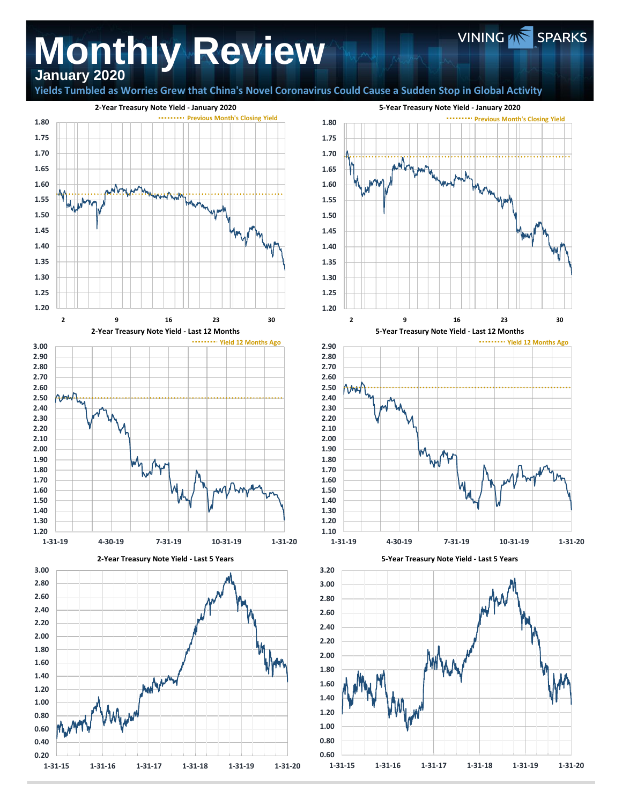## **Monthly Review January 2020**

**Yields Tumbled as Worries Grew that China's Novel Coronavirus Could Cause a Sudden Stop in Global Activity**





VINING **WE** SPARKS

**1-31-15 1-31-16 1-31-17 1-31-18 1-31-19 1-31-20**